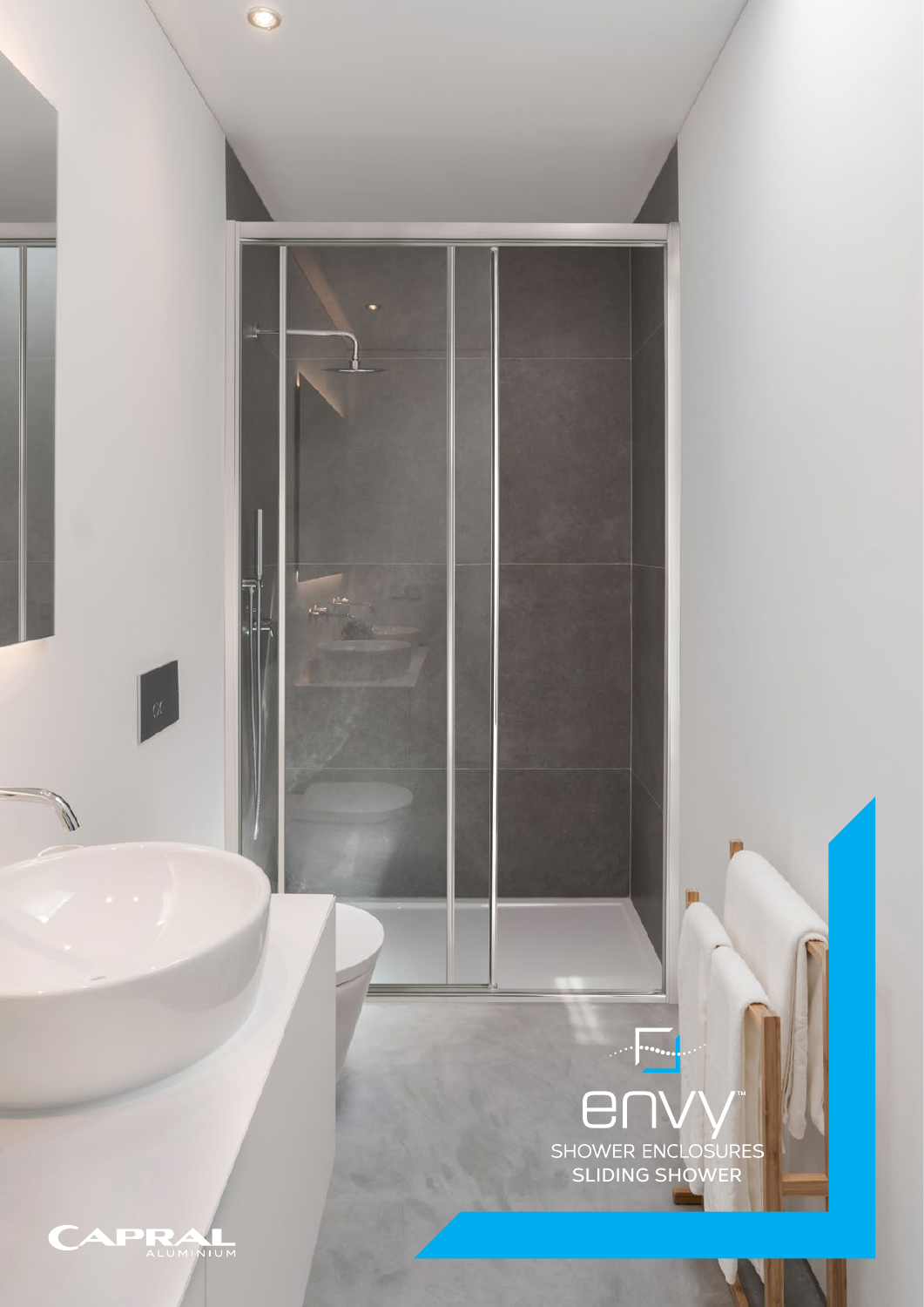

CAPRA

 $\bullet$